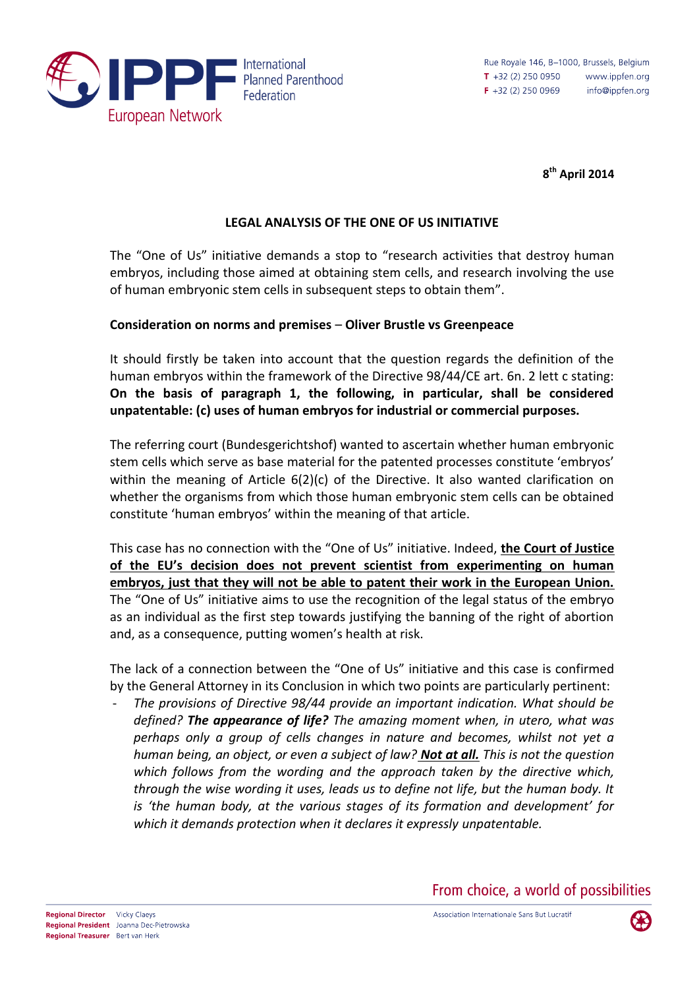

**8 th April 2014**

## **LEGAL ANALYSIS OF THE ONE OF US INITIATIVE**

The "One of Us" initiative demands a stop to "research activities that destroy human embryos, including those aimed at obtaining stem cells, and research involving the use of human embryonic stem cells in subsequent steps to obtain them".

#### **Consideration on norms and premises** – **Oliver Brustle vs Greenpeace**

It should firstly be taken into account that the question regards the definition of the human embryos within the framework of the Directive 98/44/CE art. 6n. 2 lett c stating: **On the basis of paragraph 1, the following, in particular, shall be considered unpatentable: (c) uses of human embryos for industrial or commercial purposes.**

The referring court (Bundesgerichtshof) wanted to ascertain whether human embryonic stem cells which serve as base material for the patented processes constitute 'embryos' within the meaning of Article  $6(2)(c)$  of the Directive. It also wanted clarification on whether the organisms from which those human embryonic stem cells can be obtained constitute 'human embryos' within the meaning of that article.

This case has no connection with the "One of Us" initiative. Indeed, **the Court of Justice of the EU's decision does not prevent scientist from experimenting on human embryos, just that they will not be able to patent their work in the European Union.** The "One of Us" initiative aims to use the recognition of the legal status of the embryo as an individual as the first step towards justifying the banning of the right of abortion and, as a consequence, putting women's health at risk.

The lack of a connection between the "One of Us" initiative and this case is confirmed by the General Attorney in its Conclusion in which two points are particularly pertinent:

- *The provisions of Directive 98/44 provide an important indication. What should be defined? The appearance of life? The amazing moment when, in utero, what was perhaps only a group of cells changes in nature and becomes, whilst not yet a human being, an object, or even a subject of law? Not at all. This is not the question which follows from the wording and the approach taken by the directive which, through the wise wording it uses, leads us to define not life, but the human body. It is 'the human body, at the various stages of its formation and development' for which it demands protection when it declares it expressly unpatentable.*

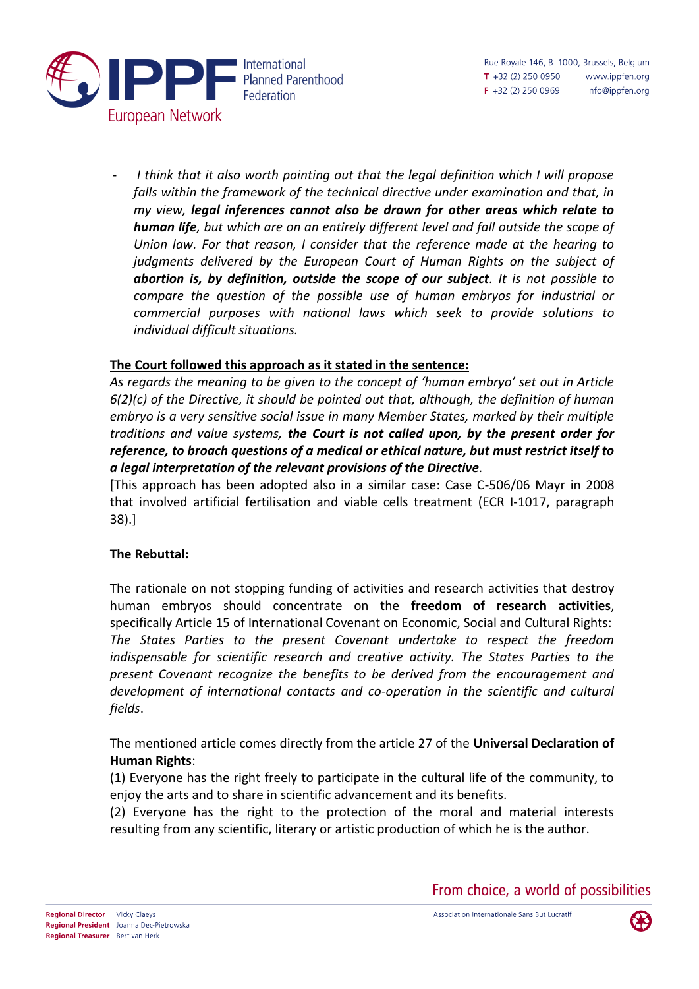

- *I think that it also worth pointing out that the legal definition which I will propose falls within the framework of the technical directive under examination and that, in my view, legal inferences cannot also be drawn for other areas which relate to human life, but which are on an entirely different level and fall outside the scope of Union law. For that reason, I consider that the reference made at the hearing to judgments delivered by the European Court of Human Rights on the subject of abortion is, by definition, outside the scope of our subject. It is not possible to compare the question of the possible use of human embryos for industrial or commercial purposes with national laws which seek to provide solutions to individual difficult situations.*

# **The Court followed this approach as it stated in the sentence:**

*As regards the meaning to be given to the concept of 'human embryo' set out in Article 6(2)(c) of the Directive, it should be pointed out that, although, the definition of human embryo is a very sensitive social issue in many Member States, marked by their multiple traditions and value systems, the Court is not called upon, by the present order for reference, to broach questions of a medical or ethical nature, but must restrict itself to a legal interpretation of the relevant provisions of the Directive.*

[This approach has been adopted also in a similar case: Case C-506/06 Mayr in 2008 that involved artificial fertilisation and viable cells treatment (ECR I-1017, paragraph 38).]

### **The Rebuttal:**

The rationale on not stopping funding of activities and research activities that destroy human embryos should concentrate on the **freedom of research activities**, specifically Article 15 of International Covenant on Economic, Social and Cultural Rights: *The States Parties to the present Covenant undertake to respect the freedom indispensable for scientific research and creative activity. The States Parties to the present Covenant recognize the benefits to be derived from the encouragement and development of international contacts and co-operation in the scientific and cultural fields*.

The mentioned article comes directly from the article 27 of the **Universal Declaration of Human Rights**:

(1) Everyone has the right freely to participate in the cultural life of the community, to enjoy the arts and to share in scientific advancement and its benefits.

(2) Everyone has the right to the protection of the moral and material interests resulting from any scientific, literary or artistic production of which he is the author.

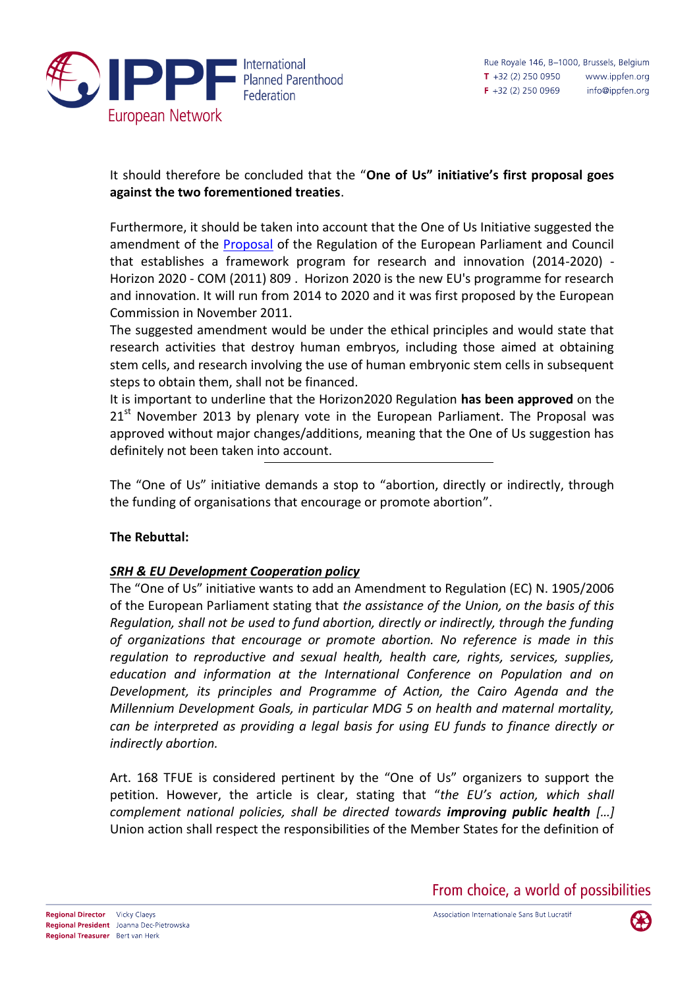

It should therefore be concluded that the "**One of Us" initiative's first proposal goes against the two forementioned treaties**.

Furthermore, it should be taken into account that the One of Us Initiative suggested the amendment of the **Proposal** of the Regulation of the European Parliament and Council that establishes a framework program for research and innovation (2014-2020) - Horizon 2020 - COM (2011) 809 . Horizon 2020 is the new EU's programme for research and innovation. It will run from 2014 to 2020 and it was first proposed by the European Commission in November 2011.

The suggested amendment would be under the ethical principles and would state that research activities that destroy human embryos, including those aimed at obtaining stem cells, and research involving the use of human embryonic stem cells in subsequent steps to obtain them, shall not be financed.

It is important to underline that the Horizon2020 Regulation **has been approved** on the  $21<sup>st</sup>$  November 2013 by plenary vote in the European Parliament. The Proposal was approved without major changes/additions, meaning that the One of Us suggestion has definitely not been taken into account.

The "One of Us" initiative demands a stop to "abortion, directly or indirectly, through the funding of organisations that encourage or promote abortion".

### **The Rebuttal:**

### *SRH & EU Development Cooperation policy*

The "One of Us" initiative wants to add an Amendment to Regulation (EC) N. 1905/2006 of the European Parliament stating that *the assistance of the Union, on the basis of this Regulation, shall not be used to fund abortion, directly or indirectly, through the funding of organizations that encourage or promote abortion. No reference is made in this regulation to reproductive and sexual health, health care, rights, services, supplies, education and information at the International Conference on Population and on Development, its principles and Programme of Action, the Cairo Agenda and the Millennium Development Goals, in particular MDG 5 on health and maternal mortality, can be interpreted as providing a legal basis for using EU funds to finance directly or indirectly abortion.*

Art. 168 TFUE is considered pertinent by the "One of Us" organizers to support the petition. However, the article is clear, stating that "*the EU's action, which shall complement national policies, shall be directed towards improving public health […]*  Union action shall respect the responsibilities of the Member States for the definition of

From choice, a world of possibilities